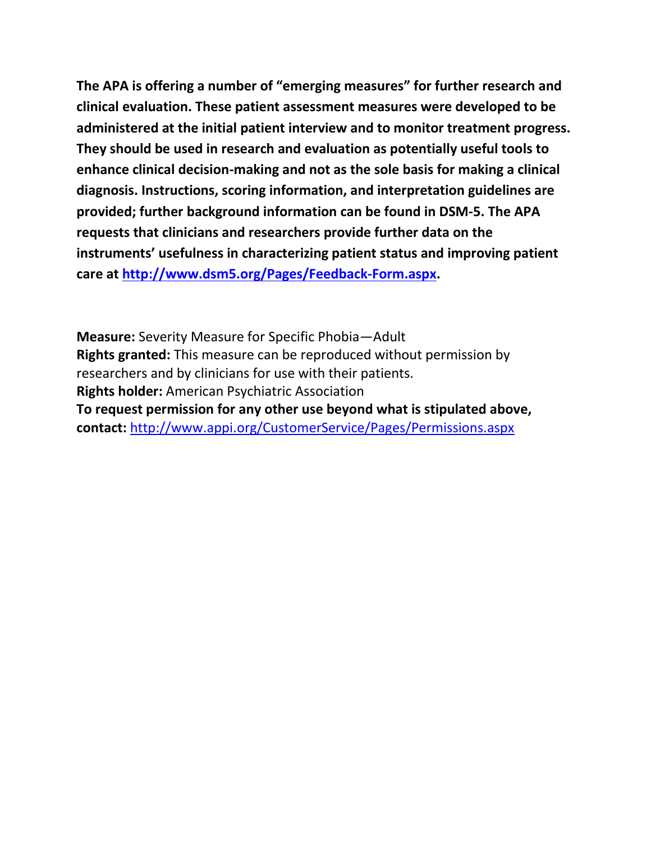**The APA is offering a number of "emerging measures" for further research and clinical evaluation. These patient assessment measures were developed to be administered at the initial patient interview and to monitor treatment progress. They should be used in research and evaluation as potentially useful tools to enhance clinical decision-making and not as the sole basis for making a clinical diagnosis. Instructions, scoring information, and interpretation guidelines are provided; further background information can be found in DSM-5. The APA requests that clinicians and researchers provide further data on the instruments' usefulness in characterizing patient status and improving patient care at [http://www.dsm5.org/Pages/Feedback-Form.aspx.](http://www.dsm5.org/Pages/Feedback-Form.aspx)**

**Measure:** Severity Measure for Specific Phobia—Adult **Rights granted:** This measure can be reproduced without permission by researchers and by clinicians for use with their patients. **Rights holder:** American Psychiatric Association **To request permission for any other use beyond what is stipulated above, contact:** <http://www.appi.org/CustomerService/Pages/Permissions.aspx>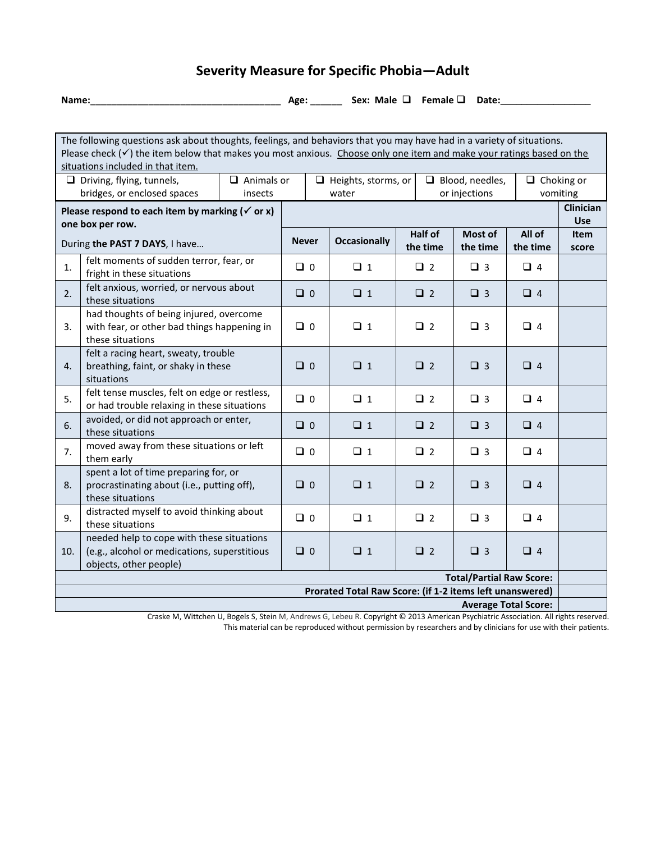## **Severity Measure for Specific Phobia—Adult**

**Name:**\_\_\_\_\_\_\_\_\_\_\_\_\_\_\_\_\_\_\_\_\_\_\_\_\_\_\_\_\_\_\_\_\_\_\_\_ **Age:** \_\_\_\_\_\_ **Sex: Male Female Date:\_\_\_\_\_\_\_\_\_\_\_\_\_\_\_\_\_**

| The following questions ask about thoughts, feelings, and behaviors that you may have had in a variety of situations.<br>Please check $(\checkmark)$ the item below that makes you most anxious. Choose only one item and make your ratings based on the |                                                                                                                     |                            |              |                        |             |             |                    |                  |
|----------------------------------------------------------------------------------------------------------------------------------------------------------------------------------------------------------------------------------------------------------|---------------------------------------------------------------------------------------------------------------------|----------------------------|--------------|------------------------|-------------|-------------|--------------------|------------------|
| situations included in that item.                                                                                                                                                                                                                        |                                                                                                                     |                            |              |                        |             |             |                    |                  |
| $\Box$ Animals or<br>$\Box$ Driving, flying, tunnels,                                                                                                                                                                                                    |                                                                                                                     | $\Box$ Heights, storms, or |              | $\Box$ Blood, needles, |             |             | $\Box$ Choking or  |                  |
| bridges, or enclosed spaces<br>insects                                                                                                                                                                                                                   |                                                                                                                     | or injections<br>water     |              |                        |             |             | vomiting           |                  |
| Please respond to each item by marking ( $\checkmark$ or x)                                                                                                                                                                                              |                                                                                                                     |                            |              |                        |             |             |                    | <b>Clinician</b> |
| one box per row.                                                                                                                                                                                                                                         |                                                                                                                     |                            |              | <b>Half of</b>         | Most of     | All of      | Use<br><b>Item</b> |                  |
| During the PAST 7 DAYS, I have                                                                                                                                                                                                                           |                                                                                                                     |                            | <b>Never</b> | <b>Occasionally</b>    | the time    | the time    | the time           | score            |
| 1.                                                                                                                                                                                                                                                       | felt moments of sudden terror, fear, or<br>fright in these situations                                               |                            | $\Box$ 0     | $\Box$ 1               | $\square$ 2 | $\Box$ 3    | $\Box$ 4           |                  |
| 2.                                                                                                                                                                                                                                                       | felt anxious, worried, or nervous about<br>these situations                                                         |                            | $\Box$ 0     | $\Box$ 1               | $\Box$ 2    | $\Box$ 3    | $\Box$ 4           |                  |
| 3.                                                                                                                                                                                                                                                       | had thoughts of being injured, overcome<br>with fear, or other bad things happening in<br>these situations          |                            | $\Box$ 0     | $\Box$ 1               | $\Box$ 2    | $\square$ 3 | $\Box$ 4           |                  |
| 4.                                                                                                                                                                                                                                                       | felt a racing heart, sweaty, trouble<br>breathing, faint, or shaky in these<br>situations                           |                            | $\Box$ 0     | $\Box$ 1               | $\Box$ 2    | $\Box$ 3    | $\Box$ 4           |                  |
| 5.                                                                                                                                                                                                                                                       | felt tense muscles, felt on edge or restless,<br>or had trouble relaxing in these situations                        |                            | $\Box$ 0     | $\Box$ 1               | $\Box$ 2    | $\Box$ 3    | $\Box$ 4           |                  |
| 6.                                                                                                                                                                                                                                                       | avoided, or did not approach or enter,<br>these situations                                                          |                            | $\Box$ 0     | $\Box$ 1               | $\Box$ 2    | $\Box$ 3    | $\Box$ 4           |                  |
| 7.                                                                                                                                                                                                                                                       | moved away from these situations or left<br>them early                                                              |                            | $\Box$ 0     | $\Box$ 1               | $\Box$ 2    | $\Box$ 3    | $\Box$ 4           |                  |
| 8.                                                                                                                                                                                                                                                       | spent a lot of time preparing for, or<br>procrastinating about (i.e., putting off),<br>these situations             |                            | $\Box$ 0     | $\Box$ 1               | $\Box$ 2    | $\Box$ 3    | $\Box$ 4           |                  |
| 9.                                                                                                                                                                                                                                                       | distracted myself to avoid thinking about<br>these situations                                                       |                            | $\Box$ 0     | $\Box$ 1               | $\square$ 2 | $\Box$ 3    | $\Box$ 4           |                  |
| 10.                                                                                                                                                                                                                                                      | needed help to cope with these situations<br>(e.g., alcohol or medications, superstitious<br>objects, other people) |                            | $\Box$ 0     | $\Box$ 1               | $\square$ 2 | $\Box$ 3    | $\Box$ 4           |                  |
| <b>Total/Partial Raw Score:</b>                                                                                                                                                                                                                          |                                                                                                                     |                            |              |                        |             |             |                    |                  |
| Prorated Total Raw Score: (if 1-2 items left unanswered)                                                                                                                                                                                                 |                                                                                                                     |                            |              |                        |             |             |                    |                  |
| <b>Average Total Score:</b><br>Cuertia M. Wittsberg H. Bende C. Ctrip M. Andreuse C. Lebeur D. Commisht @ 2012 American Bendictric Acceptation All district                                                                                              |                                                                                                                     |                            |              |                        |             |             |                    |                  |

Craske M, Wittchen U, Bogels S, Stein M, Andrews G, Lebeu R. Copyright © 2013 American Psychiatric Association. All rights reserved. This material can be reproduced without permission by researchers and by clinicians for use with their patients.